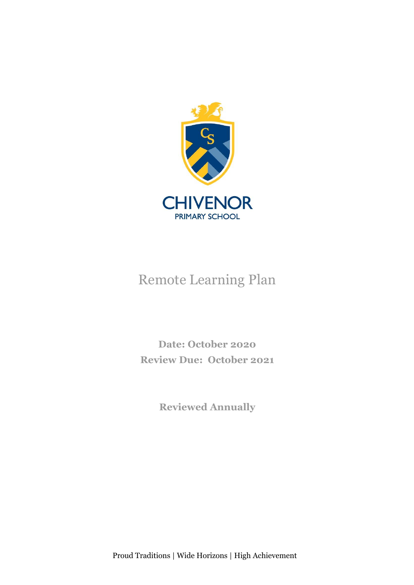

# Remote Learning Plan

**Date: October 2020 Review Due: October 2021**

**Reviewed Annually**

Proud Traditions | Wide Horizons | High Achievement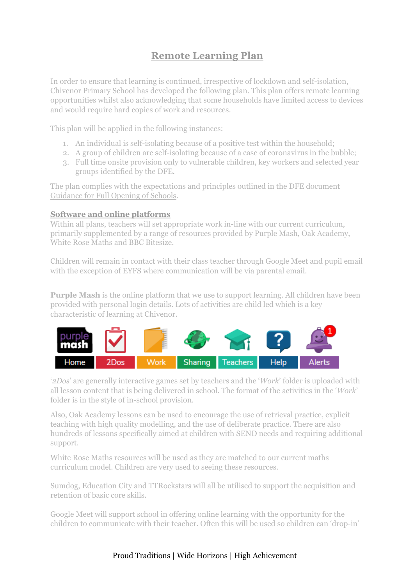# **Remote Learning Plan**

In order to ensure that learning is continued, irrespective of lockdown and self-isolation, Chivenor Primary School has developed the following plan. This plan offers remote learning opportunities whilst also acknowledging that some households have limited access to devices and would require hard copies of work and resources.

This plan will be applied in the following instances:

- 1. An individual is self-isolating because of a positive test within the household;
- 2. A group of children are self-isolating because of a case of coronavirus in the bubble;
- 3. Full time onsite provision only to vulnerable children, key workers and selected year groups identified by the DFE.

The plan complies with the expectations and principles outlined in the DFE document Guidance for Full Opening of Schools.

## **Software and online platforms**

Within all plans, teachers will set appropriate work in-line with our current curriculum, primarily supplemented by a range of resources provided by Purple Mash, Oak Academy, White Rose Maths and BBC Bitesize.

Children will remain in contact with their class teacher through Google Meet and pupil email with the exception of EYFS where communication will be via parental email.

**Purple Mash** is the online platform that we use to support learning. All children have been provided with personal login details. Lots of activities are child led which is a key characteristic of learning at Chivenor.



'*2Dos*' are generally interactive games set by teachers and the '*Work*' folder is uploaded with all lesson content that is being delivered in school. The format of the activities in the '*Work*' folder is in the style of in-school provision.

Also, Oak Academy lessons can be used to encourage the use of retrieval practice, explicit teaching with high quality modelling, and the use of deliberate practice. There are also hundreds of lessons specifically aimed at children with SEND needs and requiring additional support.

White Rose Maths resources will be used as they are matched to our current maths curriculum model. Children are very used to seeing these resources.

Sumdog, Education City and TTRockstars will all be utilised to support the acquisition and retention of basic core skills.

Google Meet will support school in offering online learning with the opportunity for the children to communicate with their teacher. Often this will be used so children can 'drop-in'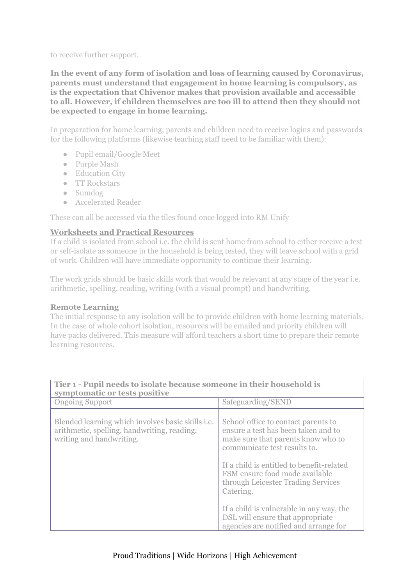to receive further support.

**In the event of any form of isolation and loss of learning caused by Coronavirus, parents must understand that engagement in home learning is compulsory, as is the expectation that Chivenor makes that provision available and accessible to all. However, if children themselves are too ill to attend then they should not be expected to engage in home learning.**

In preparation for home learning, parents and children need to receive logins and passwords for the following platforms (likewise teaching staff need to be familiar with them):

- Pupil email/Google Meet
- Purple Mash
- Education City
- TT Rockstars
- Sumdog
- Accelerated Reader

These can all be accessed via the tiles found once logged into RM Unify

### **Worksheets and Practical Resources**

If a child is isolated from school i.e. the child is sent home from school to either receive a test or self-isolate as someone in the household is being tested, they will leave school with a grid of work. Children will have immediate opportunity to continue their learning.

The work grids should be basic skills work that would be relevant at any stage of the year i.e. arithmetic, spelling, reading, writing (with a visual prompt) and handwriting.

### **Remote Learning**

The initial response to any isolation will be to provide children with home learning materials. In the case of whole cohort isolation, resources will be emailed and priority children will have packs delivered. This measure will afford teachers a short time to prepare their remote learning resources.

| Tier 1 - Pupil needs to isolate because someone in their household is<br>symptomatic or tests positive                              |                                                                                                                                                                                                                                                                                    |  |
|-------------------------------------------------------------------------------------------------------------------------------------|------------------------------------------------------------------------------------------------------------------------------------------------------------------------------------------------------------------------------------------------------------------------------------|--|
| <b>Ongoing Support</b>                                                                                                              | Safeguarding/SEND                                                                                                                                                                                                                                                                  |  |
| Blended learning which involves basic skills <i>i.e.</i><br>arithmetic, spelling, handwriting, reading,<br>writing and handwriting. | School office to contact parents to<br>ensure a test has been taken and to<br>make sure that parents know who to<br>communicate test results to.<br>If a child is entitled to benefit-related<br>FSM ensure food made available<br>through Leicester Trading Services<br>Catering. |  |
|                                                                                                                                     | If a child is vulnerable in any way, the<br>DSL will ensure that appropriate<br>agencies are notified and arrange for                                                                                                                                                              |  |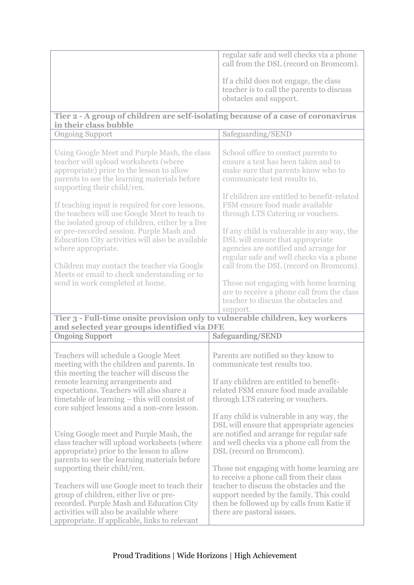|                                                                                                                                                                                                                                | regular safe and well checks via a phone<br>call from the DSL (record on Bromcom).                                                                                                                           |  |
|--------------------------------------------------------------------------------------------------------------------------------------------------------------------------------------------------------------------------------|--------------------------------------------------------------------------------------------------------------------------------------------------------------------------------------------------------------|--|
|                                                                                                                                                                                                                                | If a child does not engage, the class<br>teacher is to call the parents to discuss<br>obstacles and support.                                                                                                 |  |
| Tier 2 - A group of children are self-isolating because of a case of coronavirus<br>in their class bubble                                                                                                                      |                                                                                                                                                                                                              |  |
| <b>Ongoing Support</b>                                                                                                                                                                                                         | Safeguarding/SEND                                                                                                                                                                                            |  |
| Using Google Meet and Purple Mash, the class<br>teacher will upload worksheets (where<br>appropriate) prior to the lesson to allow<br>parents to see the learning materials before<br>supporting their child/ren.              | School office to contact parents to<br>ensure a test has been taken and to<br>make sure that parents know who to<br>communicate test results to.                                                             |  |
| If teaching input is required for core lessons,<br>the teachers will use Google Meet to teach to<br>the isolated group of children, either by a live                                                                           | If children are entitled to benefit-related<br>FSM ensure food made available<br>through LTS Catering or vouchers.                                                                                           |  |
| or pre-recorded session. Purple Mash and<br>Education City activities will also be available<br>where appropriate.                                                                                                             | If any child is vulnerable in any way, the<br>DSL will ensure that appropriate<br>agencies are notified and arrange for<br>regular safe and well checks via a phone                                          |  |
| Children may contact the teacher via Google<br>Meets or email to check understanding or to                                                                                                                                     | call from the DSL (record on Bromcom).                                                                                                                                                                       |  |
| send in work completed at home.                                                                                                                                                                                                | Those not engaging with home learning<br>are to receive a phone call from the class<br>teacher to discuss the obstacles and<br>support.                                                                      |  |
| Tier 3 - Full-time onsite provision only to vulnerable children, key workers                                                                                                                                                   |                                                                                                                                                                                                              |  |
| and selected year groups identified via DFE<br><b>Ongoing Support</b>                                                                                                                                                          | Safeguarding/SEND                                                                                                                                                                                            |  |
|                                                                                                                                                                                                                                |                                                                                                                                                                                                              |  |
| Teachers will schedule a Google Meet<br>meeting with the children and parents. In<br>this meeting the teacher will discuss the                                                                                                 | Parents are notified so they know to<br>communicate test results too.                                                                                                                                        |  |
| remote learning arrangements and<br>expectations. Teachers will also share a<br>timetable of learning – this will consist of<br>core subject lessons and a non-core lesson.                                                    | If any children are entitled to benefit-<br>related FSM ensure food made available<br>through LTS catering or vouchers.                                                                                      |  |
| Using Google meet and Purple Mash, the<br>class teacher will upload worksheets (where                                                                                                                                          | If any child is vulnerable in any way, the<br>DSL will ensure that appropriate agencies<br>are notified and arrange for regular safe<br>and well checks via a phone call from the                            |  |
| appropriate) prior to the lesson to allow<br>parents to see the learning materials before<br>supporting their child/ren.                                                                                                       | DSL (record on Bromcom).<br>Those not engaging with home learning are.                                                                                                                                       |  |
| Teachers will use Google meet to teach their<br>group of children, either live or pre-<br>recorded. Purple Mash and Education City<br>activities will also be available where<br>appropriate. If applicable, links to relevant | to receive a phone call from their class<br>teacher to discuss the obstacles and the<br>support needed by the family. This could<br>then be followed up by calls from Katie if<br>there are pastoral issues. |  |